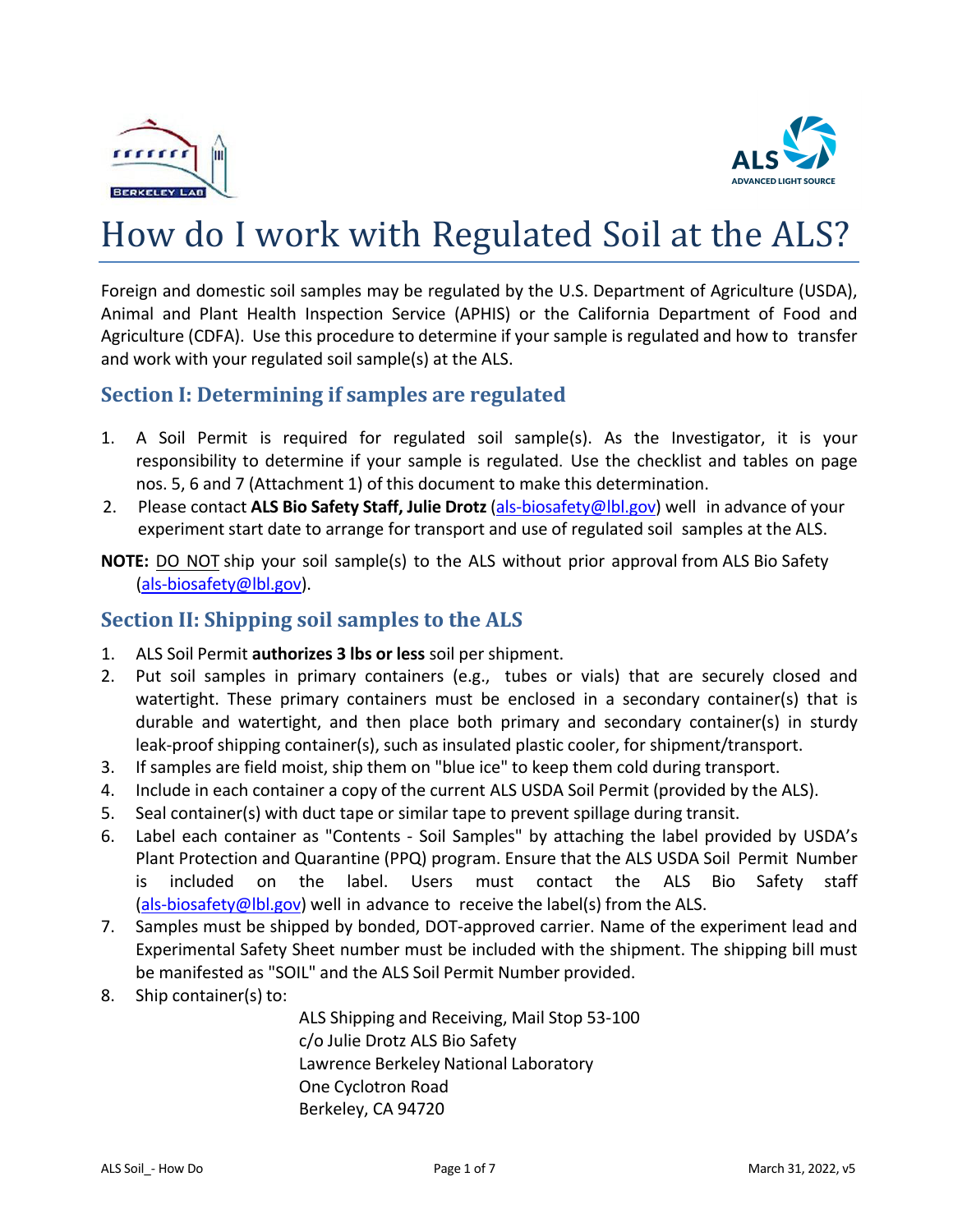



# How do I work with Regulated Soil at the ALS?

Foreign and domestic soil samples may be regulated by the U.S. Department of Agriculture (USDA), Animal and Plant Health Inspection Service (APHIS) or the California Department of Food and Agriculture (CDFA). Use this procedure to determine if your sample is regulated and how to transfer and work with your regulated soil sample(s) at the ALS.

#### **Section I: Determining if samples are regulated**

- 1. A Soil Permit is required for regulated soil sample(s). As the Investigator, it is your responsibility to determine if your sample is regulated. Use the checklist and tables on page nos. 5, 6 and 7 (Attachment 1) of this document to make this determination.
- 2. Please contact **ALS Bio Safety Staff, Julie Drotz**(als-biosafety@lbl.gov) well in advance of your experiment start date to arrange for transport and use of regulated soil samples at the ALS.
- **NOTE:** DO NOT ship your soil sample(s) to the ALS without prior approval from ALS Bio Safety (als-biosafety@lbl.gov).

## **Section II: Shipping soil samples to the ALS**

- 1. ALS Soil Permit **authorizes 3 lbs or less** soil per shipment.
- 2. Put soil samples in primary containers (e.g., tubes or vials) that are securely closed and watertight. These primary containers must be enclosed in a secondary container(s) that is durable and watertight, and then place both primary and secondary container(s) in sturdy leak-proof shipping container(s), such as insulated plastic cooler, for shipment/transport.
- 3. If samples are field moist, ship them on "blue ice" to keep them cold during transport.
- 4. Include in each container a copy of the current ALS USDA Soil Permit (provided by the ALS).
- 5. Seal container(s) with duct tape or similar tape to prevent spillage during transit.
- 6. Label each container as "Contents Soil Samples" by attaching the label provided by USDA's Plant Protection and Quarantine (PPQ) program. Ensure that the ALS USDA Soil Permit Number is included on the label. Users must contact the ALS Bio Safety staff (als-biosafety@lbl.gov) well in advance to receive the label(s) from the ALS.
- 7. Samples must be shipped by bonded, DOT-approved carrier. Name of the experiment lead and Experimental Safety Sheet number must be included with the shipment. The shipping bill must be manifested as "SOIL" and the ALS Soil Permit Number provided.
- 8. Ship container(s) to:

ALS Shipping and Receiving, Mail Stop 53-100 c/o Julie Drotz ALS Bio Safety Lawrence Berkeley National Laboratory One Cyclotron Road Berkeley, CA 94720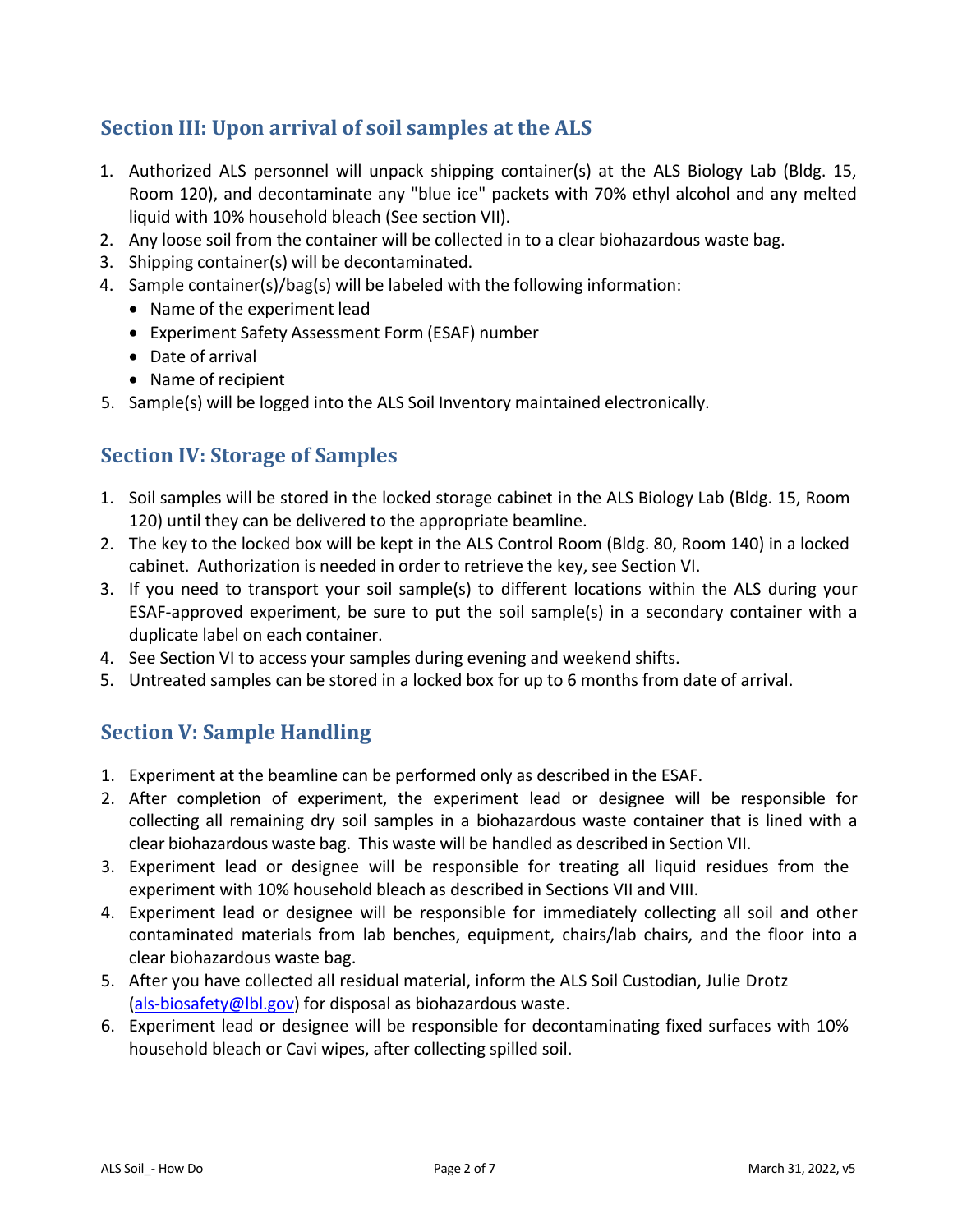# **Section III: Upon arrival of soil samples at the ALS**

- 1. Authorized ALS personnel will unpack shipping container(s) at the ALS Biology Lab (Bldg. 15, Room 120), and decontaminate any "blue ice" packets with 70% ethyl alcohol and any melted liquid with 10% household bleach (See section VII).
- 2. Any loose soil from the container will be collected in to a clear biohazardous waste bag.
- 3. Shipping container(s) will be decontaminated.
- 4. Sample container(s)/bag(s) will be labeled with the following information:
	- Name of the experiment lead
	- Experiment Safety Assessment Form (ESAF) number
	- Date of arrival
	- Name of recipient
- 5. Sample(s) will be logged into the ALS Soil Inventory maintained electronically.

## **Section IV: Storage of Samples**

- 1. Soil samples will be stored in the locked storage cabinet in the ALS Biology Lab (Bldg. 15, Room 120) until they can be delivered to the appropriate beamline.
- 2. The key to the locked box will be kept in the ALS Control Room (Bldg. 80, Room 140) in a locked cabinet. Authorization is needed in order to retrieve the key, see Section VI.
- 3. If you need to transport your soil sample(s) to different locations within the ALS during your ESAF-approved experiment, be sure to put the soil sample(s) in a secondary container with a duplicate label on each container.
- 4. See Section VI to access your samples during evening and weekend shifts.
- 5. Untreated samples can be stored in a locked box for up to 6 months from date of arrival.

## **Section V: Sample Handling**

- 1. Experiment at the beamline can be performed only as described in the ESAF.
- 2. After completion of experiment, the experiment lead or designee will be responsible for collecting all remaining dry soil samples in a biohazardous waste container that is lined with a clear biohazardous waste bag. This waste will be handled as described in Section VII.
- 3. Experiment lead or designee will be responsible for treating all liquid residues from the experiment with 10% household bleach as described in Sections VII and VIII.
- 4. Experiment lead or designee will be responsible for immediately collecting all soil and other contaminated materials from lab benches, equipment, chairs/lab chairs, and the floor into a clear biohazardous waste bag.
- 5. After you have collected all residual material, inform the ALS Soil Custodian, Julie Drotz (als-biosafety@lbl.gov) for disposal as biohazardous waste.
- 6. Experiment lead or designee will be responsible for decontaminating fixed surfaces with 10% household bleach or Cavi wipes, after collecting spilled soil.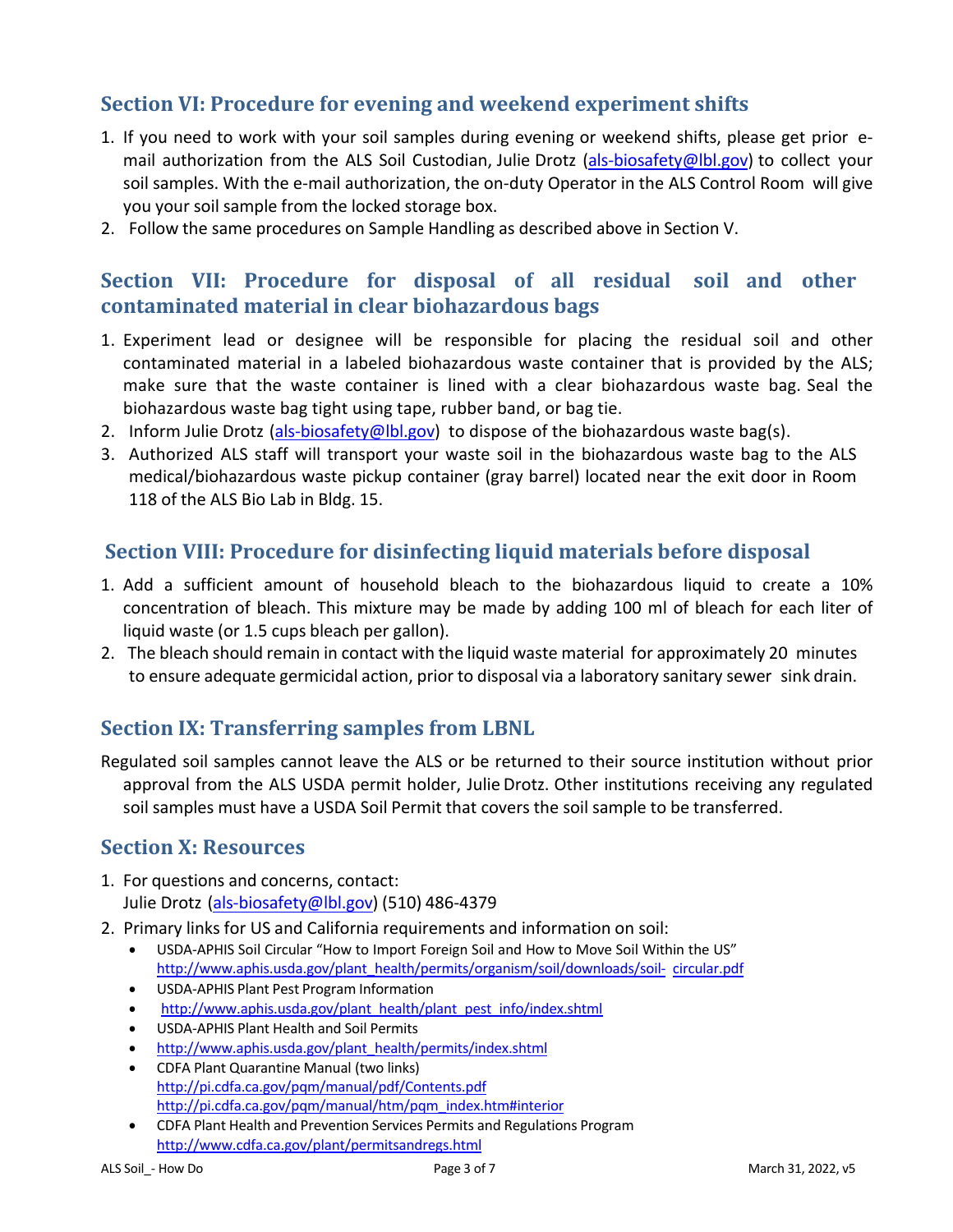# **Section VI: Procedure for evening and weekend experiment shifts**

- 1. If you need to work with your soil samples during evening or weekend shifts, please get prior email authorization from the ALS Soil Custodian, Julie Drotz (als-biosafety@lbl.gov) to collect your soil samples. With the e-mail authorization, the on-duty Operator in the ALS Control Room will give you your soil sample from the locked storage box.
- 2. Follow the same procedures on Sample Handling as described above in Section V.

## **Section VII: Procedure for disposal of all residual soil and other contaminated material in clear biohazardous bags**

- 1. Experiment lead or designee will be responsible for placing the residual soil and other contaminated material in a labeled biohazardous waste container that is provided by the ALS; make sure that the waste container is lined with a clear biohazardous waste bag. Seal the biohazardous waste bag tight using tape, rubber band, or bag tie.
- 2. Inform Julie Drotz (als-biosafety@lbl.gov) to dispose of the biohazardous waste bag(s).
- 3. Authorized ALS staff will transport your waste soil in the biohazardous waste bag to the ALS medical/biohazardous waste pickup container (gray barrel) located near the exit door in Room 118 of the ALS Bio Lab in Bldg. 15.

#### **Section VIII: Procedure for disinfecting liquid materials before disposal**

- 1. Add a sufficient amount of household bleach to the biohazardous liquid to create a 10% concentration of bleach. This mixture may be made by adding 100 ml of bleach for each liter of liquid waste (or 1.5 cups bleach per gallon).
- 2. The bleach should remain in contact with the liquid waste material for approximately 20 minutes to ensure adequate germicidal action, prior to disposal via a laboratory sanitary sewer sink drain.

#### **Section IX: Transferring samples from LBNL**

Regulated soil samples cannot leave the ALS or be returned to their source institution without prior approval from the ALS USDA permit holder, Julie Drotz. Other institutions receiving any regulated soil samples must have a USDA Soil Permit that covers the soil sample to be transferred.

#### **Section X: Resources**

- 1. For questions and concerns, contact: Julie Drotz (als-biosafety@lbl.gov) (510) 486-4379
- 2. Primary links for US and California requirements and information on soil:
	- USDA-APHIS Soil Circular "How to Import Foreign Soil and How to Move Soil Within the US" http://www.aphis.usda.gov/plant\_health/permits/organism/soil/downloads/soil- circular.pdf
	- USDA-APHIS Plant Pest Program Information
	- http://www.aphis.usda.gov/plant\_health/plant\_pest\_info/index.shtml
	- USDA-APHIS Plant Health and Soil Permits
	- http://www.aphis.usda.gov/plant\_health/permits/index.shtml
	- CDFA Plant Quarantine Manual (two links) http://pi.cdfa.ca.gov/pqm/manual/pdf/Contents.pdf http://pi.cdfa.ca.gov/pqm/manual/htm/pqm\_index.htm#interior
	- CDFA Plant Health and Prevention Services Permits and Regulations Program http://www.cdfa.ca.gov/plant/permitsandregs.html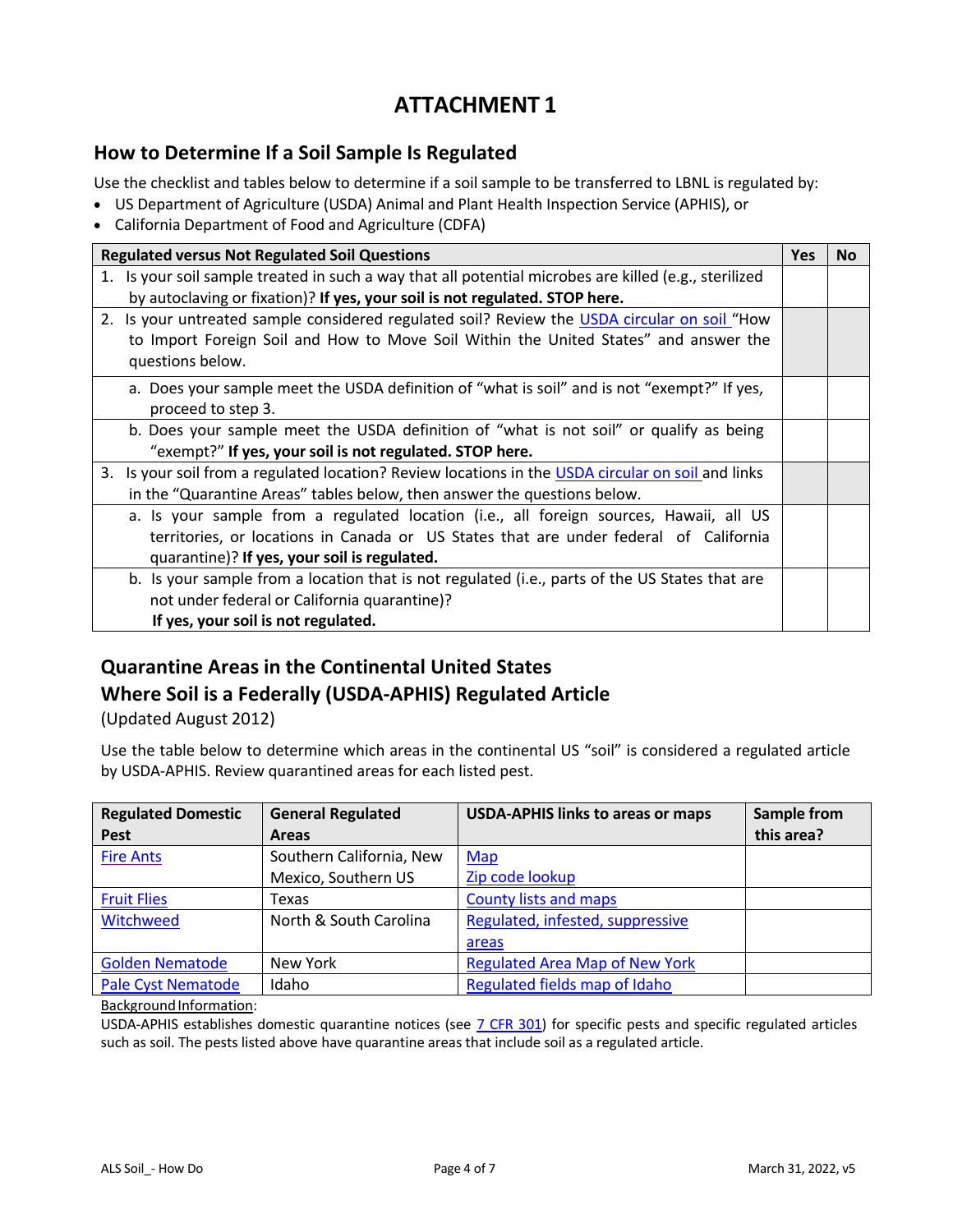# **ATTACHMENT 1**

#### **How to Determine If a Soil Sample Is Regulated**

Use the checklist and tables below to determine if a soil sample to be transferred to LBNL is regulated by:

- US Department of Agriculture (USDA) Animal and Plant Health Inspection Service (APHIS), or
- California Department of Food and Agriculture (CDFA)

| <b>Regulated versus Not Regulated Soil Questions</b> |                                                                                                       |  | <b>No</b> |
|------------------------------------------------------|-------------------------------------------------------------------------------------------------------|--|-----------|
|                                                      | 1. Is your soil sample treated in such a way that all potential microbes are killed (e.g., sterilized |  |           |
|                                                      | by autoclaving or fixation)? If yes, your soil is not regulated. STOP here.                           |  |           |
|                                                      | 2. Is your untreated sample considered regulated soil? Review the USDA circular on soil "How          |  |           |
|                                                      | to Import Foreign Soil and How to Move Soil Within the United States" and answer the                  |  |           |
|                                                      | questions below.                                                                                      |  |           |
|                                                      | a. Does your sample meet the USDA definition of "what is soil" and is not "exempt?" If yes,           |  |           |
|                                                      | proceed to step 3.                                                                                    |  |           |
|                                                      | b. Does your sample meet the USDA definition of "what is not soil" or qualify as being                |  |           |
|                                                      | "exempt?" If yes, your soil is not regulated. STOP here.                                              |  |           |
|                                                      | 3. Is your soil from a regulated location? Review locations in the USDA circular on soil and links    |  |           |
|                                                      | in the "Quarantine Areas" tables below, then answer the questions below.                              |  |           |
|                                                      | a. Is your sample from a regulated location (i.e., all foreign sources, Hawaii, all US                |  |           |
|                                                      | territories, or locations in Canada or US States that are under federal of California                 |  |           |
|                                                      | quarantine)? If yes, your soil is regulated.                                                          |  |           |
|                                                      | b. Is your sample from a location that is not regulated (i.e., parts of the US States that are        |  |           |
|                                                      | not under federal or California quarantine)?                                                          |  |           |
|                                                      | If yes, your soil is not regulated.                                                                   |  |           |

# **Quarantine Areas in the Continental United States Where Soil is a Federally (USDA-APHIS) Regulated Article**

(Updated August 2012)

Use the table below to determine which areas in the continental US "soil" is considered a regulated article by USDA-APHIS. Review quarantined areas for each listed pest.

| <b>Regulated Domestic</b> | <b>General Regulated</b> | <b>USDA-APHIS links to areas or maps</b> | <b>Sample from</b> |
|---------------------------|--------------------------|------------------------------------------|--------------------|
| <b>Pest</b>               | <b>Areas</b>             |                                          | this area?         |
| <b>Fire Ants</b>          | Southern California, New | Map                                      |                    |
|                           | Mexico, Southern US      | Zip code lookup                          |                    |
| <b>Fruit Flies</b>        | Texas                    | <b>County lists and maps</b>             |                    |
| Witchweed                 | North & South Carolina   | Regulated, infested, suppressive         |                    |
|                           |                          | areas                                    |                    |
| <b>Golden Nematode</b>    | New York                 | <b>Regulated Area Map of New York</b>    |                    |
| <b>Pale Cyst Nematode</b> | Idaho                    | Regulated fields map of Idaho            |                    |

Background Information:

USDA-APHIS establishes domestic quarantine notices (see  $\overline{7}$  CFR 301) for specific pests and specific regulated articles such as soil. The pests listed above have quarantine areas that include soil as a regulated article.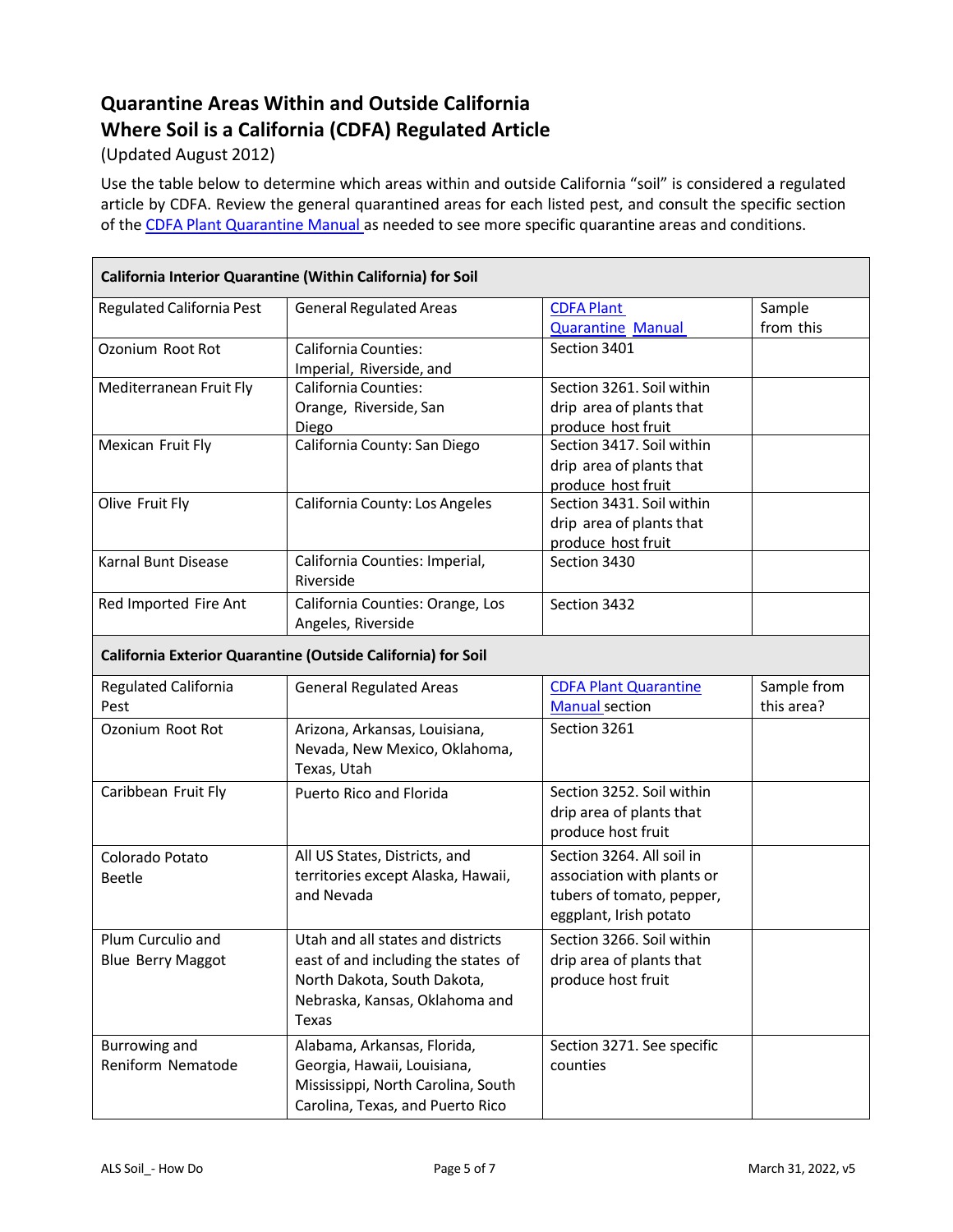# **Quarantine Areas Within and Outside California Where Soil is a California (CDFA) Regulated Article**

#### (Updated August 2012)

Use the table below to determine which areas within and outside California "soil" is considered a regulated article by CDFA. Review the general quarantined areas for each listed pest, and consult the specific section of the CDFA Plant Quarantine Manual as needed to see more specific quarantine areas and conditions.

| California Interior Quarantine (Within California) for Soil |                                                                                                                                                    |                                                                                                                |                           |  |  |  |
|-------------------------------------------------------------|----------------------------------------------------------------------------------------------------------------------------------------------------|----------------------------------------------------------------------------------------------------------------|---------------------------|--|--|--|
| <b>Regulated California Pest</b>                            | <b>General Regulated Areas</b>                                                                                                                     | <b>CDFA Plant</b><br><b>Quarantine Manual</b>                                                                  | Sample<br>from this       |  |  |  |
| Ozonium Root Rot                                            | <b>California Counties:</b><br>Imperial, Riverside, and                                                                                            | Section 3401                                                                                                   |                           |  |  |  |
| Mediterranean Fruit Fly                                     | <b>California Counties:</b><br>Orange, Riverside, San<br>Diego                                                                                     | Section 3261. Soil within<br>drip area of plants that<br>produce host fruit                                    |                           |  |  |  |
| Mexican Fruit Fly                                           | California County: San Diego                                                                                                                       | Section 3417. Soil within<br>drip area of plants that<br>produce host fruit                                    |                           |  |  |  |
| Olive Fruit Fly                                             | California County: Los Angeles                                                                                                                     | Section 3431. Soil within<br>drip area of plants that<br>produce host fruit                                    |                           |  |  |  |
| Karnal Bunt Disease                                         | California Counties: Imperial,<br>Riverside                                                                                                        | Section 3430                                                                                                   |                           |  |  |  |
| Red Imported Fire Ant                                       | California Counties: Orange, Los<br>Angeles, Riverside                                                                                             | Section 3432                                                                                                   |                           |  |  |  |
|                                                             | California Exterior Quarantine (Outside California) for Soil                                                                                       |                                                                                                                |                           |  |  |  |
| Regulated California<br>Pest                                | <b>General Regulated Areas</b>                                                                                                                     | <b>CDFA Plant Quarantine</b><br><b>Manual section</b>                                                          | Sample from<br>this area? |  |  |  |
| Ozonium Root Rot                                            | Arizona, Arkansas, Louisiana,<br>Nevada, New Mexico, Oklahoma,<br>Texas, Utah                                                                      | Section 3261                                                                                                   |                           |  |  |  |
| Caribbean Fruit Fly                                         | Puerto Rico and Florida                                                                                                                            | Section 3252. Soil within<br>drip area of plants that<br>produce host fruit                                    |                           |  |  |  |
| Colorado Potato<br><b>Beetle</b>                            | All US States, Districts, and<br>territories except Alaska, Hawaii,<br>and Nevada                                                                  | Section 3264. All soil in<br>association with plants or<br>tubers of tomato, pepper,<br>eggplant, Irish potato |                           |  |  |  |
| Plum Curculio and<br><b>Blue Berry Maggot</b>               | Utah and all states and districts<br>east of and including the states of<br>North Dakota, South Dakota,<br>Nebraska, Kansas, Oklahoma and<br>Texas | Section 3266. Soil within<br>drip area of plants that<br>produce host fruit                                    |                           |  |  |  |
| Burrowing and<br>Reniform Nematode                          | Alabama, Arkansas, Florida,<br>Georgia, Hawaii, Louisiana,<br>Mississippi, North Carolina, South<br>Carolina, Texas, and Puerto Rico               | Section 3271. See specific<br>counties                                                                         |                           |  |  |  |